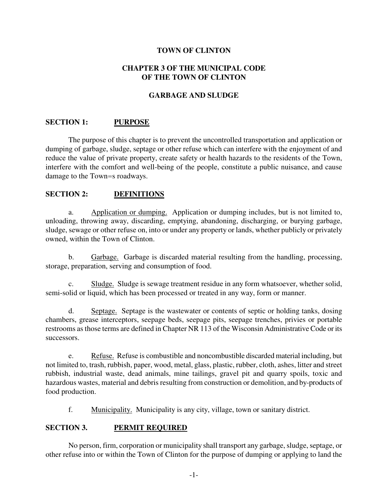### **TOWN OF CLINTON**

### **CHAPTER 3 OF THE MUNICIPAL CODE OF THE TOWN OF CLINTON**

### **GARBAGE AND SLUDGE**

### **SECTION 1: PURPOSE**

The purpose of this chapter is to prevent the uncontrolled transportation and application or dumping of garbage, sludge, septage or other refuse which can interfere with the enjoyment of and reduce the value of private property, create safety or health hazards to the residents of the Town, interfere with the comfort and well-being of the people, constitute a public nuisance, and cause damage to the Town=s roadways.

### **SECTION 2: DEFINITIONS**

a. Application or dumping. Application or dumping includes, but is not limited to, unloading, throwing away, discarding, emptying, abandoning, discharging, or burying garbage, sludge, sewage or other refuse on, into or under any property or lands, whether publicly or privately owned, within the Town of Clinton.

b. Garbage. Garbage is discarded material resulting from the handling, processing, storage, preparation, serving and consumption of food.

c. Sludge. Sludge is sewage treatment residue in any form whatsoever, whether solid, semi-solid or liquid, which has been processed or treated in any way, form or manner.

d. Septage. Septage is the wastewater or contents of septic or holding tanks, dosing chambers, grease interceptors, seepage beds, seepage pits, seepage trenches, privies or portable restrooms as those terms are defined in Chapter NR 113 of the Wisconsin Administrative Code or its successors.

e. Refuse. Refuse is combustible and noncombustible discarded material including, but not limited to, trash, rubbish, paper, wood, metal, glass, plastic, rubber, cloth, ashes, litter and street rubbish, industrial waste, dead animals, mine tailings, gravel pit and quarry spoils, toxic and hazardous wastes, material and debris resulting from construction or demolition, and by-products of food production.

f. Municipality. Municipality is any city, village, town or sanitary district.

### **SECTION 3. PERMIT REQUIRED**

No person, firm, corporation or municipality shall transport any garbage, sludge, septage, or other refuse into or within the Town of Clinton for the purpose of dumping or applying to land the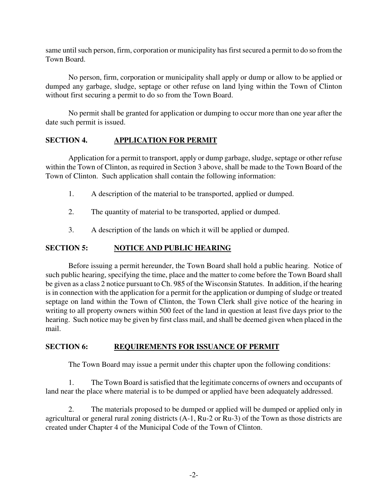same until such person, firm, corporation or municipality has first secured a permit to do so from the Town Board.

No person, firm, corporation or municipality shall apply or dump or allow to be applied or dumped any garbage, sludge, septage or other refuse on land lying within the Town of Clinton without first securing a permit to do so from the Town Board.

No permit shall be granted for application or dumping to occur more than one year after the date such permit is issued.

# **SECTION 4. APPLICATION FOR PERMIT**

Application for a permit to transport, apply or dump garbage, sludge, septage or other refuse within the Town of Clinton, as required in Section 3 above, shall be made to the Town Board of the Town of Clinton. Such application shall contain the following information:

- 1. A description of the material to be transported, applied or dumped.
- 2. The quantity of material to be transported, applied or dumped.
- 3. A description of the lands on which it will be applied or dumped.

# **SECTION 5: NOTICE AND PUBLIC HEARING**

Before issuing a permit hereunder, the Town Board shall hold a public hearing. Notice of such public hearing, specifying the time, place and the matter to come before the Town Board shall be given as a class 2 notice pursuant to Ch. 985 of the Wisconsin Statutes. In addition, if the hearing is in connection with the application for a permit for the application or dumping of sludge or treated septage on land within the Town of Clinton, the Town Clerk shall give notice of the hearing in writing to all property owners within 500 feet of the land in question at least five days prior to the hearing. Such notice may be given by first class mail, and shall be deemed given when placed in the mail.

# **SECTION 6: REQUIREMENTS FOR ISSUANCE OF PERMIT**

The Town Board may issue a permit under this chapter upon the following conditions:

1. The Town Board is satisfied that the legitimate concerns of owners and occupants of land near the place where material is to be dumped or applied have been adequately addressed.

2. The materials proposed to be dumped or applied will be dumped or applied only in agricultural or general rural zoning districts (A-1, Ru-2 or Ru-3) of the Town as those districts are created under Chapter 4 of the Municipal Code of the Town of Clinton.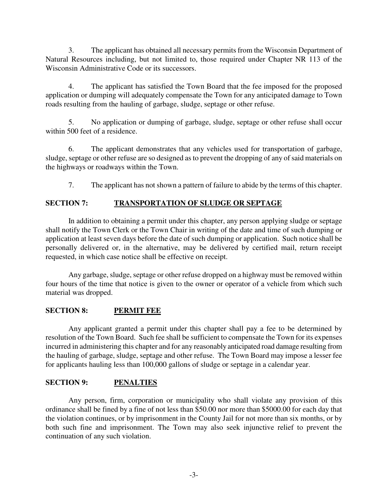3. The applicant has obtained all necessary permits from the Wisconsin Department of Natural Resources including, but not limited to, those required under Chapter NR 113 of the Wisconsin Administrative Code or its successors.

4. The applicant has satisfied the Town Board that the fee imposed for the proposed application or dumping will adequately compensate the Town for any anticipated damage to Town roads resulting from the hauling of garbage, sludge, septage or other refuse.

5. No application or dumping of garbage, sludge, septage or other refuse shall occur within 500 feet of a residence.

6. The applicant demonstrates that any vehicles used for transportation of garbage, sludge, septage or other refuse are so designed as to prevent the dropping of any of said materials on the highways or roadways within the Town.

7. The applicant has not shown a pattern of failure to abide by the terms of this chapter.

# **SECTION 7: TRANSPORTATION OF SLUDGE OR SEPTAGE**

In addition to obtaining a permit under this chapter, any person applying sludge or septage shall notify the Town Clerk or the Town Chair in writing of the date and time of such dumping or application at least seven days before the date of such dumping or application. Such notice shall be personally delivered or, in the alternative, may be delivered by certified mail, return receipt requested, in which case notice shall be effective on receipt.

Any garbage, sludge, septage or other refuse dropped on a highway must be removed within four hours of the time that notice is given to the owner or operator of a vehicle from which such material was dropped.

# **SECTION 8: PERMIT FEE**

Any applicant granted a permit under this chapter shall pay a fee to be determined by resolution of the Town Board. Such fee shall be sufficient to compensate the Town for its expenses incurred in administering this chapter and for any reasonably anticipated road damage resulting from the hauling of garbage, sludge, septage and other refuse. The Town Board may impose a lesser fee for applicants hauling less than 100,000 gallons of sludge or septage in a calendar year.

# **SECTION 9: PENALTIES**

Any person, firm, corporation or municipality who shall violate any provision of this ordinance shall be fined by a fine of not less than \$50.00 nor more than \$5000.00 for each day that the violation continues, or by imprisonment in the County Jail for not more than six months, or by both such fine and imprisonment. The Town may also seek injunctive relief to prevent the continuation of any such violation.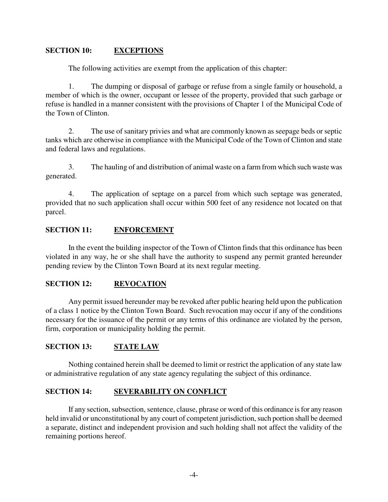### **SECTION 10: EXCEPTIONS**

The following activities are exempt from the application of this chapter:

1. The dumping or disposal of garbage or refuse from a single family or household, a member of which is the owner, occupant or lessee of the property, provided that such garbage or refuse is handled in a manner consistent with the provisions of Chapter 1 of the Municipal Code of the Town of Clinton.

2. The use of sanitary privies and what are commonly known as seepage beds or septic tanks which are otherwise in compliance with the Municipal Code of the Town of Clinton and state and federal laws and regulations.

3. The hauling of and distribution of animal waste on a farm from which such waste was generated.

4. The application of septage on a parcel from which such septage was generated, provided that no such application shall occur within 500 feet of any residence not located on that parcel.

### **SECTION 11: ENFORCEMENT**

In the event the building inspector of the Town of Clinton finds that this ordinance has been violated in any way, he or she shall have the authority to suspend any permit granted hereunder pending review by the Clinton Town Board at its next regular meeting.

### **SECTION 12: REVOCATION**

Any permit issued hereunder may be revoked after public hearing held upon the publication of a class 1 notice by the Clinton Town Board. Such revocation may occur if any of the conditions necessary for the issuance of the permit or any terms of this ordinance are violated by the person, firm, corporation or municipality holding the permit.

# **SECTION 13: STATE LAW**

Nothing contained herein shall be deemed to limit or restrict the application of any state law or administrative regulation of any state agency regulating the subject of this ordinance.

# **SECTION 14: SEVERABILITY ON CONFLICT**

If any section, subsection, sentence, clause, phrase or word of this ordinance is for any reason held invalid or unconstitutional by any court of competent jurisdiction, such portion shall be deemed a separate, distinct and independent provision and such holding shall not affect the validity of the remaining portions hereof.